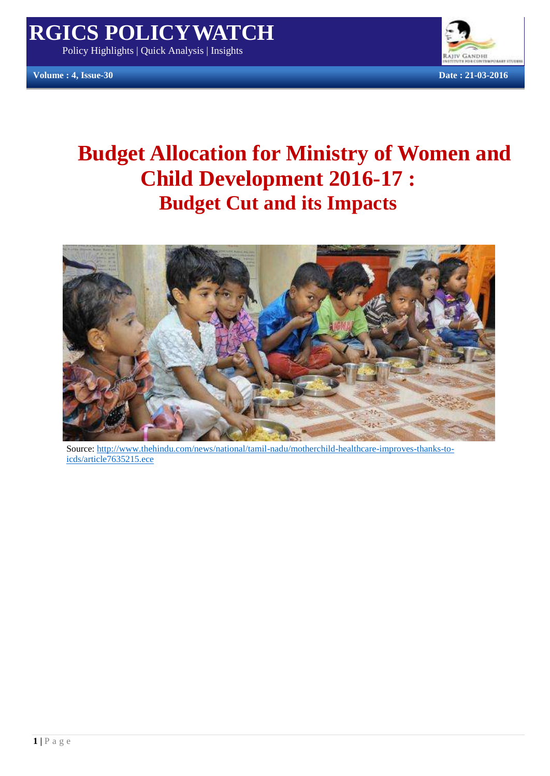

# **Budget Cut and its Impacts Budget Allocation for Ministry of Women and Child Development 2016-17 : Budget Cut and its Impacts**



Source: [http://www.thehindu.com/news/national/tamil-nadu/motherchild-healthcare-improves-thanks-to](http://www.thehindu.com/news/national/tamil-nadu/motherchild-healthcare-improves-thanks-to-icds/article7635215.ece)[icds/article7635215.ece](http://www.thehindu.com/news/national/tamil-nadu/motherchild-healthcare-improves-thanks-to-icds/article7635215.ece)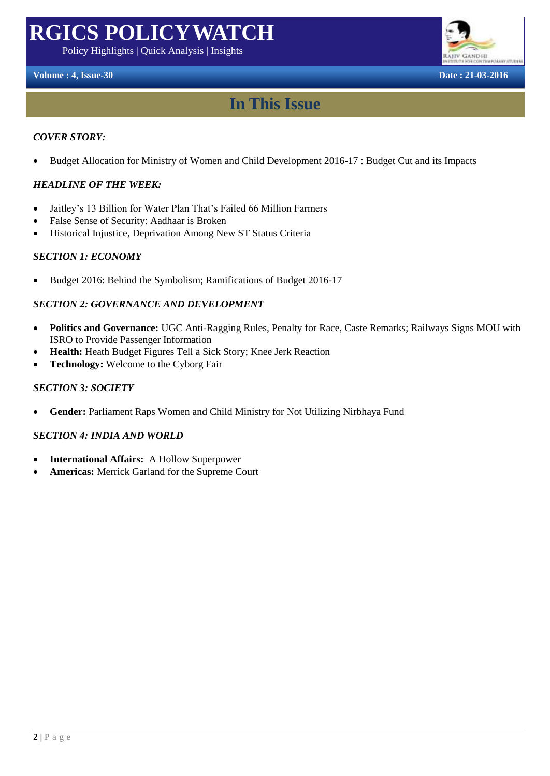Policy Highlights | Quick Analysis | Insights





## **In This Issue**

#### *COVER STORY:*

Budget Allocation for Ministry of Women and Child Development 2016-17 : Budget Cut and its Impacts

#### *HEADLINE OF THE WEEK:*

- E OF TILE WEEK.<br>s 13 Billion for Water Plan That's Failed 66 Million Farmers<br>ense of Security: Aadhaar is Broken Jaitley's 13 Billion for Water Plan That's Failed 66 Million Farmers
- False Sense of Security: Aadhaar is Broken
- Historical Injustice, Deprivation Among New ST Status Criteria

#### *SECTION 1: ECONOMY*

• Budget 2016: Behind the Symbolism; Ramifications of Budget 2016-17

#### *SECTION 2: GOVERNANCE AND DEVELOPMENT*

- **Politics and Governance:** UGC Anti-Ragging Rules, Penalty for Race, Caste Remarks; Railways Signs MOU with ISRO to Provide Passenger Information
- **Health:** Heath Budget Figures Tell a Sick Story; Knee Jerk Reaction
- **Technology:** Welcome to the Cyborg Fair

#### *SECTION 3: SOCIETY*

**Gender:** Parliament Raps Women and Child Ministry for Not Utilizing Nirbhaya Fund

#### *SECTION 4: INDIA AND WORLD*

- **International Affairs:** A Hollow Superpower
- **Americas:** Merrick Garland for the Supreme Court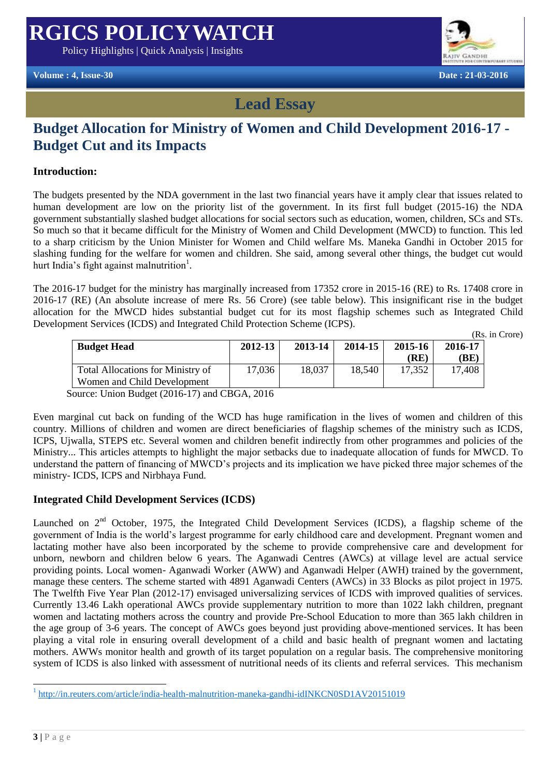Policy Highlights | Quick Analysis | Insights





## **Lead Essay**

## **Budget Allocation for Ministry of Women and Child Development 2016-17 - Budget Cut and its Impacts**

### **Introduction:**

s presented by the NDA government in the last two financial years have it amply clear that issuelopment are low on the priority list of the government. In its first full budget (2015-1 t substantially slashed budget alloca The budgets presented by the NDA government in the last two financial years have it amply clear that issues related to human development are low on the priority list of the government. In its first full budget (2015-16) the NDA government substantially slashed budget allocations for social sectors such as education, women, children, SCs and STs. So much so that it became difficult for the Ministry of Women and Child Development (MWCD) to function. This led to a sharp criticism by the Union Minister for Women and Child welfare Ms. Maneka Gandhi in October 2015 for slashing funding for the welfare for women and children. She said, among several other things, the budget cut would hurt India's fight against malnutrition<sup>1</sup>.

The 2016-17 budget for the ministry has marginally increased from 17352 crore in 2015-16 (RE) to Rs. 17408 crore in 2016-17 (RE) (An absolute increase of mere Rs. 56 Crore) (see table below). This insignificant rise in the budget allocation for the MWCD hides substantial budget cut for its most flagship schemes such as Integrated Child Development Services (ICDS) and Integrated Child Protection Scheme (ICPS).

(Rs. in Crore)

|                                                    |         |         |         |         | .       |  |
|----------------------------------------------------|---------|---------|---------|---------|---------|--|
| <b>Budget Head</b>                                 | 2012-13 | 2013-14 | 2014-15 | 2015-16 | 2016-17 |  |
|                                                    |         |         |         | (RE)    | BE)     |  |
| <b>Total Allocations for Ministry of</b>           | 17,036  | 18,037  | 18,540  | 17.352  | 17.408  |  |
| Women and Child Development                        |         |         |         |         |         |  |
| $\omega$ waa Unian Budgat (2016-17) and CBCA, 2016 |         |         |         |         |         |  |

Source: Union Budget (2016-17) and CBGA, 2016

Even marginal cut back on funding of the WCD has huge ramification in the lives of women and children of this country. Millions of children and women are direct beneficiaries of flagship schemes of the ministry such as ICDS, ICPS, Ujwalla, STEPS etc. Several women and children benefit indirectly from other programmes and policies of the Ministry... This articles attempts to highlight the major setbacks due to inadequate allocation of funds for MWCD. To understand the pattern of financing of MWCD's projects and its implication we have picked three major schemes of the ministry- ICDS, ICPS and Nirbhaya Fund.

### **Integrated Child Development Services (ICDS)**

Launched on 2<sup>nd</sup> October, 1975, the Integrated Child Development Services (ICDS), a flagship scheme of the government of India is the world's largest programme for early childhood care and development. Pregnant women and lactating mother have also been incorporated by the scheme to provide comprehensive care and development for unborn, newborn and children below 6 years. The Aganwadi Centres (AWCs) at village level are actual service providing points. Local women- Aganwadi Worker (AWW) and Aganwadi Helper (AWH) trained by the government, manage these centers. The scheme started with 4891 Aganwadi Centers (AWCs) in 33 Blocks as pilot project in 1975. The Twelfth Five Year Plan (2012-17) envisaged universalizing services of ICDS with improved qualities of services. Currently 13.46 Lakh operational AWCs provide supplementary nutrition to more than 1022 lakh children, pregnant women and lactating mothers across the country and provide Pre-School Education to more than 365 lakh children in the age group of 3-6 years. The concept of AWCs goes beyond just providing above-mentioned services. It has been playing a vital role in ensuring overall development of a child and basic health of pregnant women and lactating mothers. AWWs monitor health and growth of its target population on a regular basis. The comprehensive monitoring system of ICDS is also linked with assessment of nutritional needs of its clients and referral services. This mechanism

1

<sup>1</sup> <http://in.reuters.com/article/india-health-malnutrition-maneka-gandhi-idINKCN0SD1AV20151019>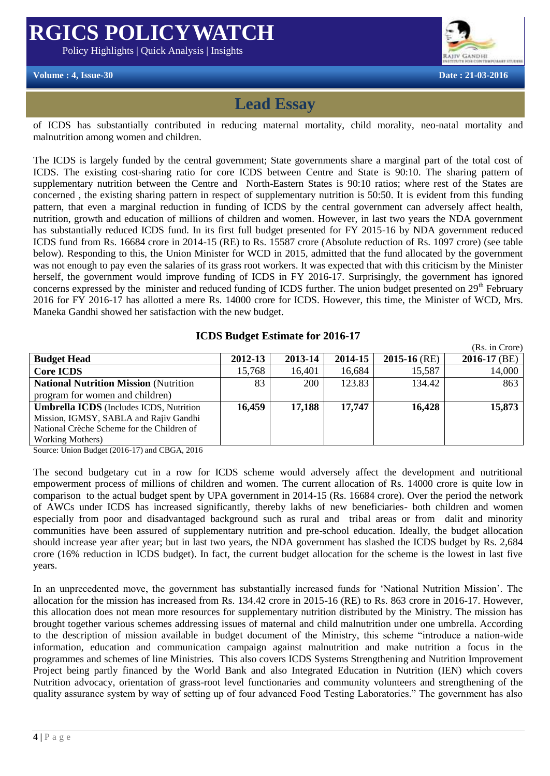Policy Highlights | Quick Analysis | Insights





 $(D<sub>s</sub> - i<sub>m</sub> C<sub>trans</sub>)$ 

# **Lead Essay**

of ICDS has substantially contributed in reducing maternal mortality, child morality, neo-natal mortality and malnutrition among women and children.

the existing sharing pattern in respect of supplementary nutrition is 50:50. It is evident from<br>t even a marginal reduction in funding of ICDS by the central government can adversely a<br>rowth and education of millions of ch The ICDS is largely funded by the central government; State governments share a marginal part of the total cost of ICDS. The existing cost-sharing ratio for core ICDS between Centre and State is 90:10. The sharing pattern of supplementary nutrition between the Centre and North-Eastern States is 90:10 ratios; where rest of the States are concerned , the existing sharing pattern in respect of supplementary nutrition is 50:50. It is evident from this funding pattern, that even a marginal reduction in funding of ICDS by the central government can adversely affect health, nutrition, growth and education of millions of children and women. However, in last two years the NDA government has substantially reduced ICDS fund. In its first full budget presented for FY 2015-16 by NDA government reduced ICDS fund from Rs. 16684 crore in 2014-15 (RE) to Rs. 15587 crore (Absolute reduction of Rs. 1097 crore) (see table below). Responding to this, the Union Minister for WCD in 2015, admitted that the fund allocated by the government was not enough to pay even the salaries of its grass root workers. It was expected that with this criticism by the Minister herself, the government would improve funding of ICDS in FY 2016-17. Surprisingly, the government has ignored concerns expressed by the minister and reduced funding of ICDS further. The union budget presented on  $29<sup>th</sup>$  February 2016 for FY 2016-17 has allotted a mere Rs. 14000 crore for ICDS. However, this time, the Minister of WCD, Mrs. Maneka Gandhi showed her satisfaction with the new budget.

### **ICDS Budget Estimate for 2016-17**

|                                                |         |         |         |                | (KS. III Crote) |
|------------------------------------------------|---------|---------|---------|----------------|-----------------|
| <b>Budget Head</b>                             | 2012-13 | 2013-14 | 2014-15 | $2015-16$ (RE) | 2016-17 (BE)    |
| <b>Core ICDS</b>                               | 15,768  | 16,401  | 16,684  | 15,587         | 14,000          |
| <b>National Nutrition Mission (Nutrition)</b>  | 83      | 200     | 123.83  | 134.42         | 863             |
| program for women and children)                |         |         |         |                |                 |
| <b>Umbrella ICDS</b> (Includes ICDS, Nutrition | 16,459  | 17,188  | 17,747  | 16,428         | 15,873          |
| Mission, IGMSY, SABLA and Rajiv Gandhi         |         |         |         |                |                 |
| National Crèche Scheme for the Children of     |         |         |         |                |                 |
| Working Mothers)                               |         |         |         |                |                 |

Source: Union Budget (2016-17) and CBGA, 2016

The second budgetary cut in a row for ICDS scheme would adversely affect the development and nutritional empowerment process of millions of children and women. The current allocation of Rs. 14000 crore is quite low in comparison to the actual budget spent by UPA government in 2014-15 (Rs. 16684 crore). Over the period the network of AWCs under ICDS has increased significantly, thereby lakhs of new beneficiaries- both children and women especially from poor and disadvantaged background such as rural and tribal areas or from dalit and minority communities have been assured of supplementary nutrition and pre-school education. Ideally, the budget allocation should increase year after year; but in last two years, the NDA government has slashed the ICDS budget by Rs. 2,684 crore (16% reduction in ICDS budget). In fact, the current budget allocation for the scheme is the lowest in last five years.

In an unprecedented move, the government has substantially increased funds for 'National Nutrition Mission'. The allocation for the mission has increased from Rs. 134.42 crore in 2015-16 (RE) to Rs. 863 crore in 2016-17. However, this allocation does not mean more resources for supplementary nutrition distributed by the Ministry. The mission has brought together various schemes addressing issues of maternal and child malnutrition under one umbrella. According to the description of mission available in budget document of the Ministry, this scheme "introduce a nation-wide information, education and communication campaign against malnutrition and make nutrition a focus in the programmes and schemes of line Ministries. This also covers ICDS Systems Strengthening and Nutrition Improvement Project being partly financed by the World Bank and also Integrated Education in Nutrition (IEN) which covers Nutrition advocacy, orientation of grass-root level functionaries and community volunteers and strengthening of the quality assurance system by way of setting up of four advanced Food Testing Laboratories." The government has also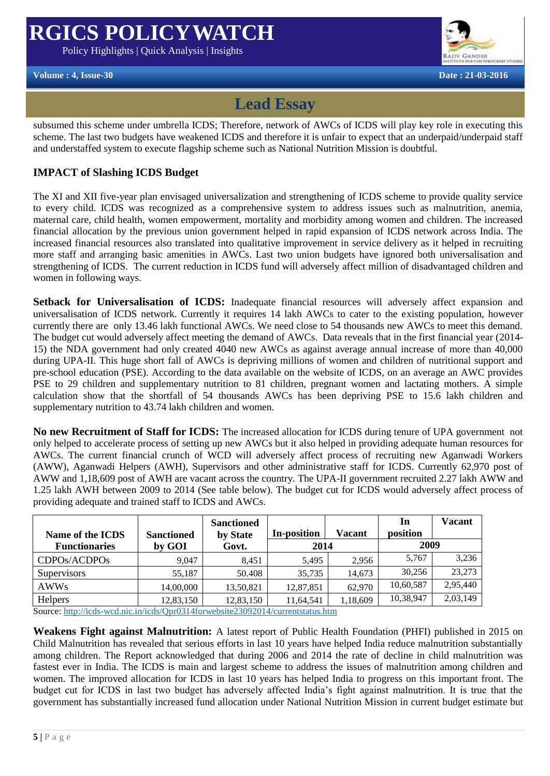Policy Highlights | Quick Analysis | Insights



**Volume : 4, Issue-30 Date : 21-03-2016**

# **Lead Essay**

subsumed this scheme under umbrella ICDS; Therefore, network of AWCs of ICDS will play key role in executing this scheme. The last two budgets have weakened ICDS and therefore it is unfair to expect that an underpaid/underpaid staff and understaffed system to execute flagship scheme such as National Nutrition Mission is doubtful.

### **IMPACT of Slashing ICDS Budget**

XII five-year plan envisaged universalization and strengthening of ICDS scheme to provide qualid. ICDS was recognized as a comprehensive system to address issues such as malnutrity are child health, women empowerment, mort The XI and XII five-year plan envisaged universalization and strengthening of ICDS scheme to provide quality service to every child. ICDS was recognized as a comprehensive system to address issues such as malnutrition, anemia, maternal care, child health, women empowerment, mortality and morbidity among women and children. The increased financial allocation by the previous union government helped in rapid expansion of ICDS network across India. The increased financial resources also translated into qualitative improvement in service delivery as it helped in recruiting more staff and arranging basic amenities in AWCs. Last two union budgets have ignored both universalisation and strengthening of ICDS. The current reduction in ICDS fund will adversely affect million of disadvantaged children and women in following ways.

**Setback for Universalisation of ICDS:** Inadequate financial resources will adversely affect expansion and universalisation of ICDS network. Currently it requires 14 lakh AWCs to cater to the existing population, however currently there are only 13.46 lakh functional AWCs. We need close to 54 thousands new AWCs to meet this demand. The budget cut would adversely affect meeting the demand of AWCs. Data reveals that in the first financial year (2014- 15) the NDA government had only created 4040 new AWCs as against average annual increase of more than 40,000 during UPA-II. This huge short fall of AWCs is depriving millions of women and children of nutritional support and pre-school education (PSE). According to the data available on the website of ICDS, on an average an AWC provides PSE to 29 children and supplementary nutrition to 81 children, pregnant women and lactating mothers. A simple calculation show that the shortfall of 54 thousands AWCs has been depriving PSE to 15.6 lakh children and supplementary nutrition to 43.74 lakh children and women.

**No new Recruitment of Staff for ICDS:** The increased allocation for ICDS during tenure of UPA government not only helped to accelerate process of setting up new AWCs but it also helped in providing adequate human resources for AWCs. The current financial crunch of WCD will adversely affect process of recruiting new Aganwadi Workers (AWW), Aganwadi Helpers (AWH), Supervisors and other administrative staff for ICDS. Currently 62,970 post of AWW and 1,18,609 post of AWH are vacant across the country. The UPA-II government recruited 2.27 lakh AWW and 1.25 lakh AWH between 2009 to 2014 (See table below). The budget cut for ICDS would adversely affect process of providing adequate and trained staff to ICDS and AWCs.

| Name of the ICDS     | <b>Sanctioned</b> | <b>Sanctioned</b><br>by State | In-position | Vacant   | In<br>position | <b>Vacant</b> |
|----------------------|-------------------|-------------------------------|-------------|----------|----------------|---------------|
| <b>Functionaries</b> | by GOI            | Govt.                         | 2014        |          | 2009           |               |
| CDPOs/ACDPOs         | 9.047             | 8.451                         | 5.495       | 2.956    | 5.767          | 3,236         |
| <b>Supervisors</b>   | 55.187            | 50.408                        | 35.735      | 14,673   | 30,256         | 23,273        |
| <b>AWWs</b>          | 14,00,000         | 13.50.821                     | 12,87,851   | 62,970   | 10,60,587      | 2,95,440      |
| <b>Helpers</b>       | 12,83,150         | 12,83,150                     | 11,64,541   | 1,18,609 | 10,38,947      | 2,03,149      |

Source: <http://icds-wcd.nic.in/icds/Qpr0314forwebsite23092014/currentstatus.htm>

**Weakens Fight against Malnutrition:** A latest report of Public Health Foundation (PHFI) published in 2015 on Child Malnutrition has revealed that serious efforts in last 10 years have helped India reduce malnutrition substantially among children. The Report acknowledged that during 2006 and 2014 the rate of decline in child malnutrition was fastest ever in India. The ICDS is main and largest scheme to address the issues of malnutrition among children and women. The improved allocation for ICDS in last 10 years has helped India to progress on this important front. The budget cut for ICDS in last two budget has adversely affected India's fight against malnutrition. It is true that the government has substantially increased fund allocation under National Nutrition Mission in current budget estimate but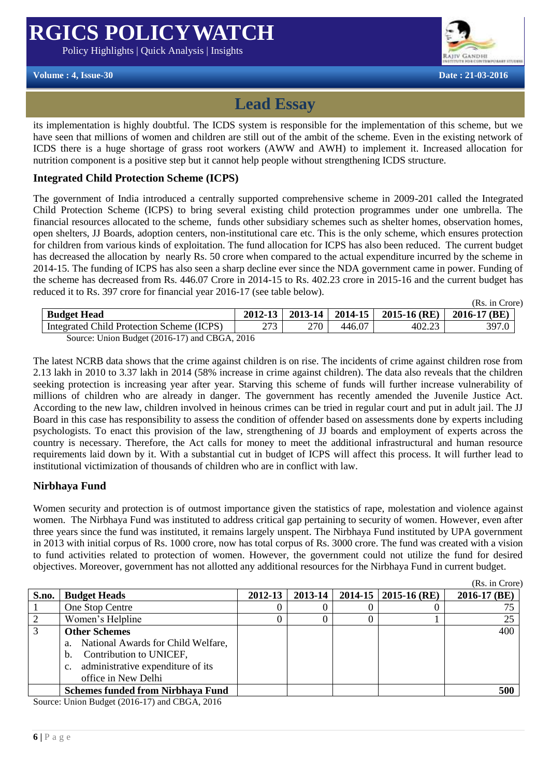Policy Highlights | Quick Analysis | Insights



**Volume : 4, Issue-30 Date : 21-03-2016**

# **Lead Essay**

its implementation is highly doubtful. The ICDS system is responsible for the implementation of this scheme, but we have seen that millions of women and children are still out of the ambit of the scheme. Even in the existing network of ICDS there is a huge shortage of grass root workers (AWW and AWH) to implement it. Increased allocation for nutrition component is a positive step but it cannot help people without strengthening ICDS structure.

### **Integrated Child Protection Scheme (ICPS)**

The government of India introduced a centrally supported comprehensive scheme in 2009-201 called the Integrated<br>Child Protection Scheme (ICPS) to bring several existing child protection programmes under one umbrella. The<br>f The government of India introduced a centrally supported comprehensive scheme in 2009-201 called the Integrated financial resources allocated to the scheme, funds other subsidiary schemes such as shelter homes, observation homes, open shelters, JJ Boards, adoption centers, non-institutional care etc. This is the only scheme, which ensures protection for children from various kinds of exploitation. The fund allocation for ICPS has also been reduced. The current budget has decreased the allocation by nearly Rs. 50 crore when compared to the actual expenditure incurred by the scheme in 2014-15. The funding of ICPS has also seen a sharp decline ever since the NDA government came in power. Funding of the scheme has decreased from Rs. 446.07 Crore in 2014-15 to Rs. 402.23 crore in 2015-16 and the current budget has reduced it to Rs. 397 crore for financial year 2016-17 (see table below).

|                                               |             |     |                       |                  | (Rs. in Crore) |
|-----------------------------------------------|-------------|-----|-----------------------|------------------|----------------|
| <b>Budget Head</b>                            | $2012 - 13$ |     | $2013 - 14$   2014-15 | $2015 - 16$ (RE) | 2016-17 (BE)   |
| Integrated Child Protection Scheme (ICPS)     | ววว         | 270 | 446.07                | 402.23           | 397.0          |
| Source: Union Budget (2016-17) and CBGA, 2016 |             |     |                       |                  |                |

The latest NCRB data shows that the crime against children is on rise. The incidents of crime against children rose from 2.13 lakh in 2010 to 3.37 lakh in 2014 (58% increase in crime against children). The data also reveals that the children seeking protection is increasing year after year. Starving this scheme of funds will further increase vulnerability of millions of children who are already in danger. The government has recently amended the Juvenile Justice Act. According to the new law, children involved in heinous crimes can be tried in regular court and put in adult jail. The JJ Board in this case has responsibility to assess the condition of offender based on assessments done by experts including psychologists. To enact this provision of the law, strengthening of JJ boards and employment of experts across the country is necessary. Therefore, the Act calls for money to meet the additional infrastructural and human resource requirements laid down by it. With a substantial cut in budget of ICPS will affect this process. It will further lead to institutional victimization of thousands of children who are in conflict with law.

### **Nirbhaya Fund**

Women security and protection is of outmost importance given the statistics of rape, molestation and violence against women. The Nirbhaya Fund was instituted to address critical gap pertaining to security of women. However, even after three years since the fund was instituted, it remains largely unspent. The Nirbhaya Fund instituted by UPA government in 2013 with initial corpus of Rs. 1000 crore, now has total corpus of Rs. 3000 crore. The fund was created with a vision to fund activities related to protection of women. However, the government could not utilize the fund for desired objectives. Moreover, government has not allotted any additional resources for the Nirbhaya Fund in current budget.

|       |                                                                                                                                                                                      |         |             |                            | (Rs. in Crore) |
|-------|--------------------------------------------------------------------------------------------------------------------------------------------------------------------------------------|---------|-------------|----------------------------|----------------|
| S.no. | <b>Budget Heads</b>                                                                                                                                                                  | 2012-13 | $2013 - 14$ | $2014 - 15$   2015-16 (RE) | 2016-17 (BE)   |
|       | One Stop Centre                                                                                                                                                                      |         |             |                            |                |
| C     | Women's Helpline                                                                                                                                                                     |         |             |                            | 25             |
| 3     | <b>Other Schemes</b><br>a. National Awards for Child Welfare,<br>Contribution to UNICEF,<br>$\mathbf b$ .<br>administrative expenditure of its<br>$c_{\cdot}$<br>office in New Delhi |         |             |                            | 400            |
|       | <b>Schemes funded from Nirbhaya Fund</b>                                                                                                                                             |         |             |                            | 500            |

Source: Union Budget (2016-17) and CBGA, 2016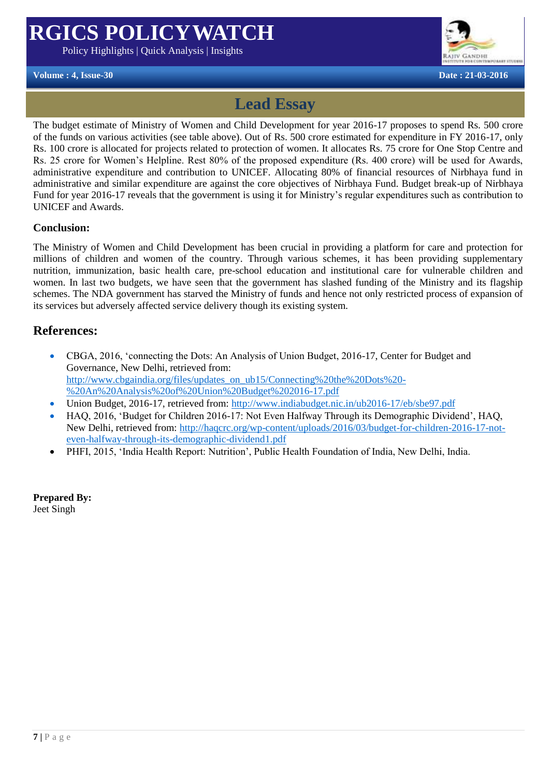Policy Highlights | Quick Analysis | Insights



#### **Volume : 4, Issue-30 Date : 21-03-2016**

# **Lead Essay**

Report of the shink of the shink of the government is using it for Ministry's regular expenditures such as contribution to UNICEF and Awards. The budget estimate of Ministry of Women and Child Development for year 2016-17 proposes to spend Rs. 500 crore of the funds on various activities (see table above). Out of Rs. 500 crore estimated for expenditure in FY 2016-17, only Rs. 100 crore is allocated for projects related to protection of women. It allocates Rs. 75 crore for One Stop Centre and Rs. 25 crore for Women's Helpline. Rest 80% of the proposed expenditure (Rs. 400 crore) will be used for Awards, administrative expenditure and contribution to UNICEF. Allocating 80% of financial resources of Nirbhaya fund in administrative and similar expenditure are against the core objectives of Nirbhaya Fund. Budget break-up of Nirbhaya UNICEF and Awards.

#### **Conclusion:**

The Ministry of Women and Child Development has been crucial in providing a platform for care and protection for millions of children and women of the country. Through various schemes, it has been providing supplementary nutrition, immunization, basic health care, pre-school education and institutional care for vulnerable children and women. In last two budgets, we have seen that the government has slashed funding of the Ministry and its flagship schemes. The NDA government has starved the Ministry of funds and hence not only restricted process of expansion of its services but adversely affected service delivery though its existing system.

### **References:**

- CBGA, 2016, 'connecting the Dots: An Analysis of Union Budget, 2016-17, Center for Budget and Governance, New Delhi, retrieved from: [http://www.cbgaindia.org/files/updates\\_on\\_ub15/Connecting%20the%20Dots%20-](http://www.cbgaindia.org/files/updates_on_ub15/Connecting%20the%20Dots%20-%20An%20Analysis%20of%20Union%20Budget%202016-17.pdf) [%20An%20Analysis%20of%20Union%20Budget%202016-17.pdf](http://www.cbgaindia.org/files/updates_on_ub15/Connecting%20the%20Dots%20-%20An%20Analysis%20of%20Union%20Budget%202016-17.pdf)
- Union Budget, 2016-17, retrieved from:<http://www.indiabudget.nic.in/ub2016-17/eb/sbe97.pdf>
- HAQ, 2016, 'Budget for Children 2016-17: Not Even Halfway Through its Demographic Dividend', HAQ, New Delhi, retrieved from: [http://haqcrc.org/wp-content/uploads/2016/03/budget-for-children-2016-17-not](http://haqcrc.org/wp-content/uploads/2016/03/budget-for-children-2016-17-not-even-halfway-through-its-demographic-dividend1.pdf)[even-halfway-through-its-demographic-dividend1.pdf](http://haqcrc.org/wp-content/uploads/2016/03/budget-for-children-2016-17-not-even-halfway-through-its-demographic-dividend1.pdf)
- PHFI, 2015, 'India Health Report: Nutrition', Public Health Foundation of India, New Delhi, India.

**Prepared By:** 

Jeet Singh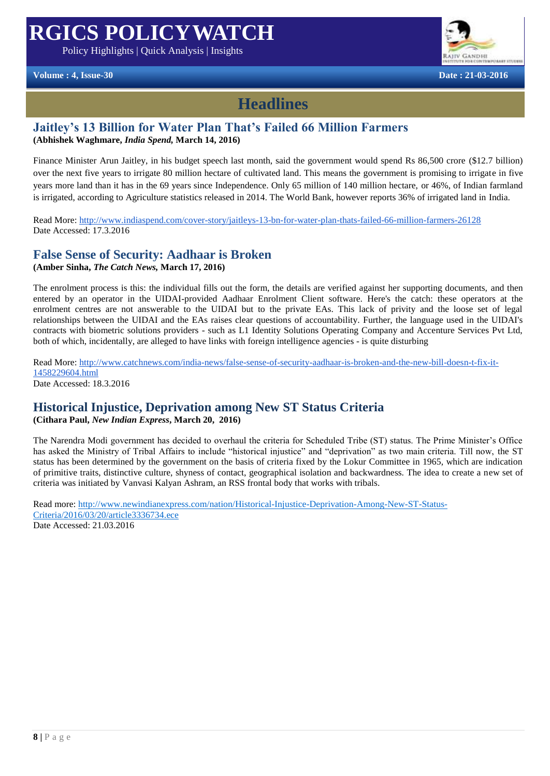Policy Highlights | Quick Analysis | Insights



**Volume : 4, Issue-30 Date : 21-03-2016**

# **Headlines**

#### **Jaitley's 13 Billion for Water Plan That's Failed 66 Million Farmers (Abhishek Waghmare,** *India Spend,* **March 14, 2016)**

and than it has in the 69 years since independence. Only 05 infinition of 140 infinition liectate, or 40%, or hi<br>according to Agriculture statistics released in 2014. The World Bank, however reports 36% of irrigated lar<br>ht Finance Minister Arun Jaitley, in his budget speech last month, said the government would spend Rs 86,500 crore (\$12.7 billion) over the next five years to irrigate 80 million hectare of cultivated land. This means the government is promising to irrigate in five years more land than it has in the 69 years since Independence. Only 65 million of 140 million hectare, or 46%, of Indian farmland is irrigated, according to Agriculture statistics released in 2014. The World Bank, however reports 36% of irrigated land in India.

Read More[:](http://www.indiaspend.com/cover-story/jaitleys-13-bn-for-water-plan-thats-failed-66-million-farmers-26128) <http://www.indiaspend.com/cover-story/jaitleys-13-bn-for-water-plan-thats-failed-66-million-farmers-26128> Date Accessed: 17.3.2016

# **False Sense of Security: Aadhaar is Broken**

**(Amber Sinha,** *The Catch News,* **March 17, 2016)**

The enrolment process is this: the individual fills out the form, the details are verified against her supporting documents, and then entered by an operator in the UIDAI-provided Aadhaar Enrolment Client software. Here's the catch: these operators at the enrolment centres are not answerable to the UIDAI but to the private EAs. This lack of privity and the loose set of legal relationships between the UIDAI and the EAs raises clear questions of accountability. Further, the language used in the UIDAI's contracts with biometric solutions providers - such as L1 Identity Solutions Operating Company and Accenture Services Pvt Ltd, both of which, incidentally, are alleged to have links with foreign intelligence agencies - is quite disturbing

Read More[:](http://www.catchnews.com/india-news/false-sense-of-security-aadhaar-is-broken-and-the-new-bill-doesn-t-fix-it-1458229604.html) [http://www.catchnews.com/india-news/false-sense-of-security-aadhaar-is-broken-and-the-new-bill-doesn-t-fix-it-](http://www.catchnews.com/india-news/false-sense-of-security-aadhaar-is-broken-and-the-new-bill-doesn-t-fix-it-1458229604.html)[1458229604.html](http://www.catchnews.com/india-news/false-sense-of-security-aadhaar-is-broken-and-the-new-bill-doesn-t-fix-it-1458229604.html) Date Accessed: 18.3.2016

## **Historical Injustice, Deprivation among New ST Status Criteria**

**(Cithara Paul,** *New Indian Express***, March 20, 2016)**

The Narendra Modi government has decided to overhaul the criteria for Scheduled Tribe (ST) status. The Prime Minister's Office has asked the Ministry of Tribal Affairs to include "historical injustice" and "deprivation" as two main criteria. Till now, the ST status has been determined by the government on the basis of criteria fixed by the Lokur Committee in 1965, which are indication of primitive traits, distinctive culture, shyness of contact, geographical isolation and backwardness. The idea to create a new set of criteria was initiated by Vanvasi Kalyan Ashram, an RSS frontal body that works with tribals.

Read more[:](http://www.newindianexpress.com/nation/Historical-Injustice-Deprivation-Among-New-ST-Status-Criteria/2016/03/20/article3336734.ece) [http://www.newindianexpress.com/nation/Historical-Injustice-Deprivation-Among-New-ST-Status-](http://www.newindianexpress.com/nation/Historical-Injustice-Deprivation-Among-New-ST-Status-Criteria/2016/03/20/article3336734.ece)[Criteria/2016/03/20/article3336734.ece](http://www.newindianexpress.com/nation/Historical-Injustice-Deprivation-Among-New-ST-Status-Criteria/2016/03/20/article3336734.ece) Date Accessed: 21.03.2016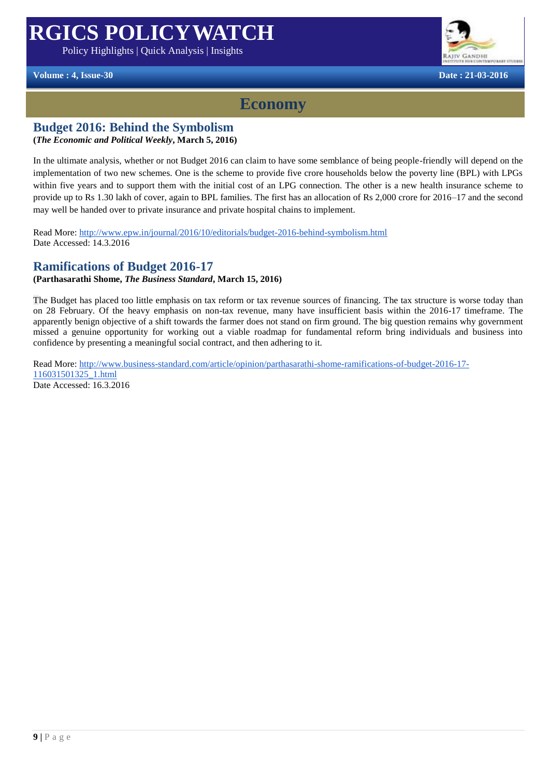Policy Highlights | Quick Analysis | Insights



**Volume : 4, Issue-30 Date : 21-03-2016**

## **Economy**

## **Budget 2016: Behind the Symbolism**

#### **(***The Economic and Political Weekly***, March 5, 2016)**

Realty and to support them with the finitial cost of an LPG connection. The other is a new health insular<br>D Rs 1.30 lakh of cover, again to BPL families. The first has an allocation of Rs 2,000 crore for 2016–17 a<br>handed o In the ultimate analysis, whether or not Budget 2016 can claim to have some semblance of being people-friendly will depend on the implementation of two new schemes. One is the scheme to provide five crore households below the poverty line (BPL) with LPGs within five years and to support them with the initial cost of an LPG connection. The other is a new health insurance scheme to provide up to Rs 1.30 lakh of cover, again to BPL families. The first has an allocation of Rs 2,000 crore for 2016–17 and the second may well be handed over to private insurance and private hospital chains to implement.

Read More[:](http://www.epw.in/journal/2016/10/editorials/budget-2016-behind-symbolism.html) <http://www.epw.in/journal/2016/10/editorials/budget-2016-behind-symbolism.html> Date Accessed: 14.3.2016

### **Ramifications of Budget 2016-17**

#### **(Parthasarathi Shome,** *The Business Standard***, March 15, 2016)**

The Budget has placed too little emphasis on tax reform or tax revenue sources of financing. The tax structure is worse today than on 28 February. Of the heavy emphasis on non-tax revenue, many have insufficient basis within the 2016-17 timeframe. The apparently benign objective of a shift towards the farmer does not stand on firm ground. The big question remains why government missed a genuine opportunity for working out a viable roadmap for fundamental reform bring individuals and business into confidence by presenting a meaningful social contract, and then adhering to it.

Read More[:](http://www.business-standard.com/article/opinion/parthasarathi-shome-ramifications-of-budget-2016-17-116031501325_1.html) [http://www.business-standard.com/article/opinion/parthasarathi-shome-ramifications-of-budget-2016-17-](http://www.business-standard.com/article/opinion/parthasarathi-shome-ramifications-of-budget-2016-17-116031501325_1.html) [116031501325\\_1.html](http://www.business-standard.com/article/opinion/parthasarathi-shome-ramifications-of-budget-2016-17-116031501325_1.html) Date Accessed: 16.3.2016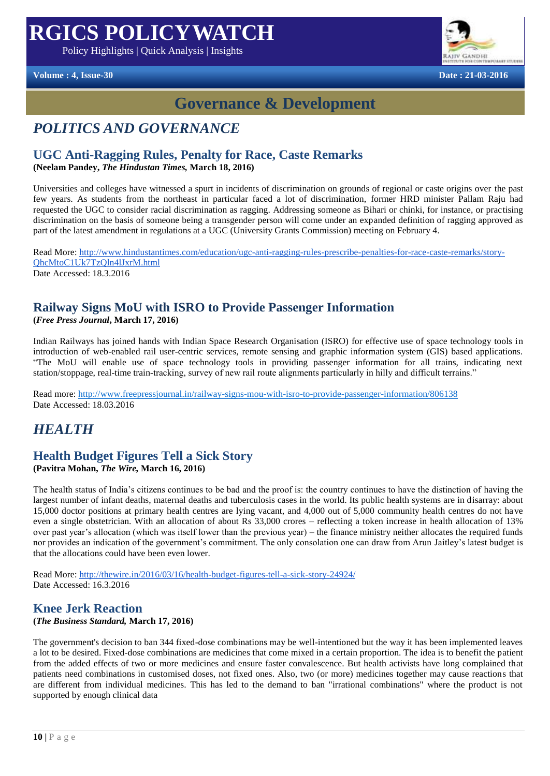Policy Highlights | Quick Analysis | Insights





## **Governance & Development**

## *POLITICS AND GOVERNANCE*

## **UGC Anti-Ragging Rules, Penalty for Race, Caste Remarks**

**(Neelam Pandey,** *The Hindustan Times,* **March 18, 2016)**

and colleges have witnessed a spurt in incidents of discrimination on grounds of regional or caste origins<br>As students from the northeast in particular faced a lot of discrimination, former HRD minister Pal<br>PUGC to conside Universities and colleges have witnessed a spurt in incidents of discrimination on grounds of regional or caste origins over the past few years. As students from the northeast in particular faced a lot of discrimination, former HRD minister Pallam Raju had requested the UGC to consider racial discrimination as ragging. Addressing someone as Bihari or chinki, for instance, or practising discrimination on the basis of someone being a transgender person will come under an expanded definition of ragging approved as part of the latest amendment in regulations at a UGC (University Grants Commission) meeting on February 4.

Read More[:](http://www.hindustantimes.com/education/ugc-anti-ragging-rules-prescribe-penalties-for-race-caste-remarks/story-QhcMtoC1Uk7TzQln4lJxrM.html) [http://www.hindustantimes.com/education/ugc-anti-ragging-rules-prescribe-penalties-for-race-caste-remarks/story-](http://www.hindustantimes.com/education/ugc-anti-ragging-rules-prescribe-penalties-for-race-caste-remarks/story-QhcMtoC1Uk7TzQln4lJxrM.html)[QhcMtoC1Uk7TzQln4lJxrM.html](http://www.hindustantimes.com/education/ugc-anti-ragging-rules-prescribe-penalties-for-race-caste-remarks/story-QhcMtoC1Uk7TzQln4lJxrM.html) Date Accessed: 18.3.2016

### **Railway Signs MoU with ISRO to Provide Passenger Information (***Free Press Journal***, March 17, 2016)**

Indian Railways has joined hands with Indian Space Research Organisation (ISRO) for effective use of space technology tools in introduction of web-enabled rail user-centric services, remote sensing and graphic information system (GIS) based applications. "The MoU will enable use of space technology tools in providing passenger information for all trains, indicating next station/stoppage, real-time train-tracking, survey of new rail route alignments particularly in hilly and difficult terrains."

Read more[:](http://www.freepressjournal.in/railway-signs-mou-with-isro-to-provide-passenger-information/806138) <http://www.freepressjournal.in/railway-signs-mou-with-isro-to-provide-passenger-information/806138> Date Accessed: 18.03.2016

## *HEALTH*

### **Health Budget Figures Tell a Sick Story (Pavitra Mohan,** *The Wire,* **March 16, 2016)**

The health status of India's citizens continues to be bad and the proof is: the country continues to have the distinction of having the largest number of infant deaths, maternal deaths and tuberculosis cases in the world. Its public health systems are in disarray: about 15,000 doctor positions at primary health centres are lying vacant, and 4,000 out of 5,000 community health centres do not have even a single obstetrician. With an allocation of about Rs 33,000 crores – reflecting a token increase in health allocation of 13% over past year's allocation (which was itself lower than the previous year) – the finance ministry neither allocates the required funds nor provides an indication of the government's commitment. The only consolation one can draw from Arun Jaitley's latest budget is that the allocations could have been even lower.

Read More[:](http://thewire.in/2016/03/16/health-budget-figures-tell-a-sick-story-24924/) <http://thewire.in/2016/03/16/health-budget-figures-tell-a-sick-story-24924/> Date Accessed: 16.3.2016

#### **Knee Jerk Reaction (***The Business Standard,* **March 17, 2016)**

The government's decision to ban 344 fixed-dose combinations may be well-intentioned but the way it has been implemented leaves a lot to be desired. Fixed-dose combinations are medicines that come mixed in a certain proportion. The idea is to benefit the patient from the added effects of two or more medicines and ensure faster convalescence. But health activists have long complained that patients need combinations in customised doses, not fixed ones. Also, two (or more) medicines together may cause reactions that are different from individual medicines. This has led to the demand to ban "irrational combinations" where the product is not supported by enough clinical data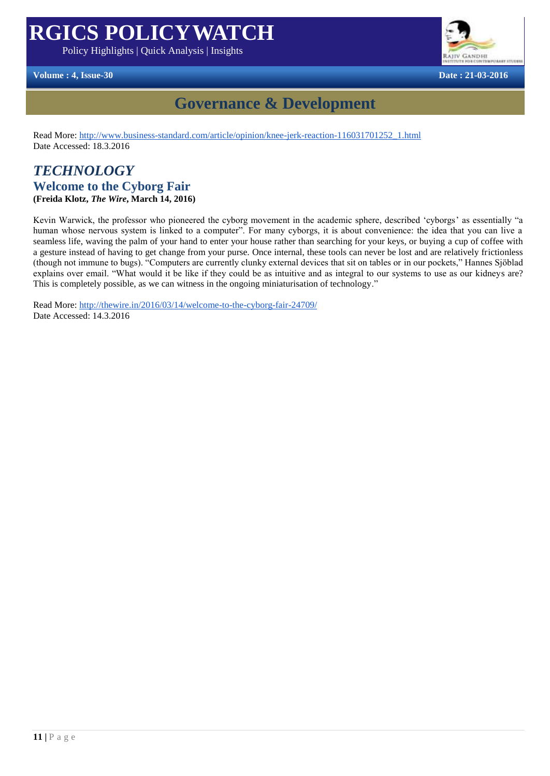Policy Highlights | Quick Analysis | Insights





## **Governance & Development**

Read More[:](http://www.business-standard.com/article/opinion/knee-jerk-reaction-116031701252_1.html) [http://www.business-standard.com/article/opinion/knee-jerk-reaction-116031701252\\_1.html](http://www.business-standard.com/article/opinion/knee-jerk-reaction-116031701252_1.html) Date Accessed: 18.3.2016

## *TECHNOLOGY*  **Welcome to the Cyborg Fair (Freida Klotz,** *The Wire***, March 14, 2016)**

**Welcome to the Cyborg Fair**<br>(Freida Klotz, *The Wire*, March 14, 2016)<br>Kevin Warwick, the professor who pioneered the cyborg movement in the academic sphere, described 'cyborgs' as essentially "a human whose nervous system is linked to a computer". For many cyborgs, it is about convenience: the idea that you can live a seamless life, waving the palm of your hand to enter your house rather than searching for your keys, or buying a cup of coffee with a gesture instead of having to get change from your purse. Once internal, these tools can never be lost and are relatively frictionless (though not immune to bugs). "Computers are currently clunky external devices that sit on tables or in our pockets," Hannes Sjöblad explains over email. "What would it be like if they could be as intuitive and as integral to our systems to use as our kidneys are? This is completely possible, as we can witness in the ongoing miniaturisation of technology."

Read More[:](http://thewire.in/2016/03/14/welcome-to-the-cyborg-fair-24709/) <http://thewire.in/2016/03/14/welcome-to-the-cyborg-fair-24709/> Date Accessed: 14.3.2016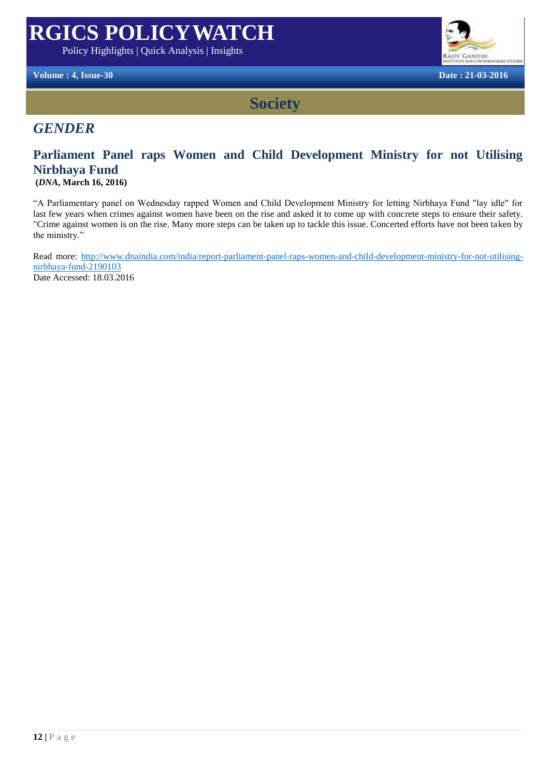Policy Highlights | Quick Analysis | Insights





**Society**

## *GENDER*

## **Parliament Panel raps Women and Child Development Ministry for not Utilising Nirbhaya Fund**

**(***DNA***, March 16, 2016)**

ntary panel on Wednesday rapped Women and Child Development Ministry for letting Nirbhaya Fund<br>is when crimes against women have been on the rise and asked it to come up with concrete steps to ensure "A Parliamentary panel on Wednesday rapped Women and Child Development Ministry for letting Nirbhaya Fund "lay idle" for last few years when crimes against women have been on the rise and asked it to come up with concrete steps to ensure their safety. "Crime against women is on the rise. Many more steps can be taken up to tackle this issue. Concerted efforts have not been taken by the ministry."

Read more: [http://www.dnaindia.com/india/report-parliament-panel-raps-women-and-child-development-ministry-for-not-utilising](http://www.dnaindia.com/india/report-parliament-panel-raps-women-and-child-development-ministry-for-not-utilising-nirbhaya-fund-2190103)[nirbhaya-fund-2190103](http://www.dnaindia.com/india/report-parliament-panel-raps-women-and-child-development-ministry-for-not-utilising-nirbhaya-fund-2190103) Date Accessed: 18.03.2016